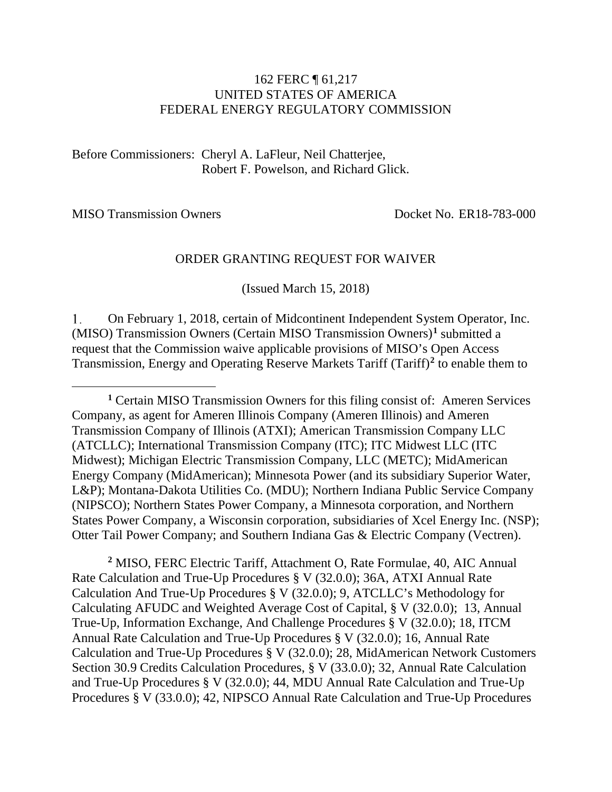#### 162 FERC ¶ 61,217 UNITED STATES OF AMERICA FEDERAL ENERGY REGULATORY COMMISSION

Before Commissioners: Cheryl A. LaFleur, Neil Chatterjee, Robert F. Powelson, and Richard Glick.

MISO Transmission Owners Docket No. ER18-783-000

 $\overline{a}$ 

<span id="page-0-2"></span>

#### ORDER GRANTING REQUEST FOR WAIVER

(Issued March 15, 2018)

1. On February 1, 2018, certain of Midcontinent Independent System Operator, Inc. (MISO) Transmission Owners (Certain MISO Transmission Owners)**[1](#page-0-0)** submitted a request that the Commission waive applicable provisions of MISO's Open Access Transmission, Energy and Operating Reserve Markets Tariff (Tariff)**[2](#page-0-1)** to enable them to

<span id="page-0-1"></span>**<sup>2</sup>** MISO, FERC Electric Tariff, Attachment O, Rate Formulae, 40, AIC Annual Rate Calculation and True-Up Procedures § V (32.0.0); 36A, ATXI Annual Rate Calculation And True-Up Procedures § V (32.0.0); 9, ATCLLC's Methodology for Calculating AFUDC and Weighted Average Cost of Capital, § V (32.0.0); 13, Annual True-Up, Information Exchange, And Challenge Procedures § V (32.0.0); 18, ITCM Annual Rate Calculation and True-Up Procedures § V (32.0.0); 16, Annual Rate Calculation and True-Up Procedures § V (32.0.0); 28, MidAmerican Network Customers Section 30.9 Credits Calculation Procedures, § V (33.0.0); 32, Annual Rate Calculation and True-Up Procedures § V (32.0.0); 44, MDU Annual Rate Calculation and True-Up Procedures § V (33.0.0); 42, NIPSCO Annual Rate Calculation and True-Up Procedures

<span id="page-0-0"></span>**<sup>1</sup>** Certain MISO Transmission Owners for this filing consist of: Ameren Services Company, as agent for Ameren Illinois Company (Ameren Illinois) and Ameren Transmission Company of Illinois (ATXI); American Transmission Company LLC (ATCLLC); International Transmission Company (ITC); ITC Midwest LLC (ITC Midwest); Michigan Electric Transmission Company, LLC (METC); MidAmerican Energy Company (MidAmerican); Minnesota Power (and its subsidiary Superior Water, L&P); Montana-Dakota Utilities Co. (MDU); Northern Indiana Public Service Company (NIPSCO); Northern States Power Company, a Minnesota corporation, and Northern States Power Company, a Wisconsin corporation, subsidiaries of Xcel Energy Inc. (NSP); Otter Tail Power Company; and Southern Indiana Gas & Electric Company (Vectren).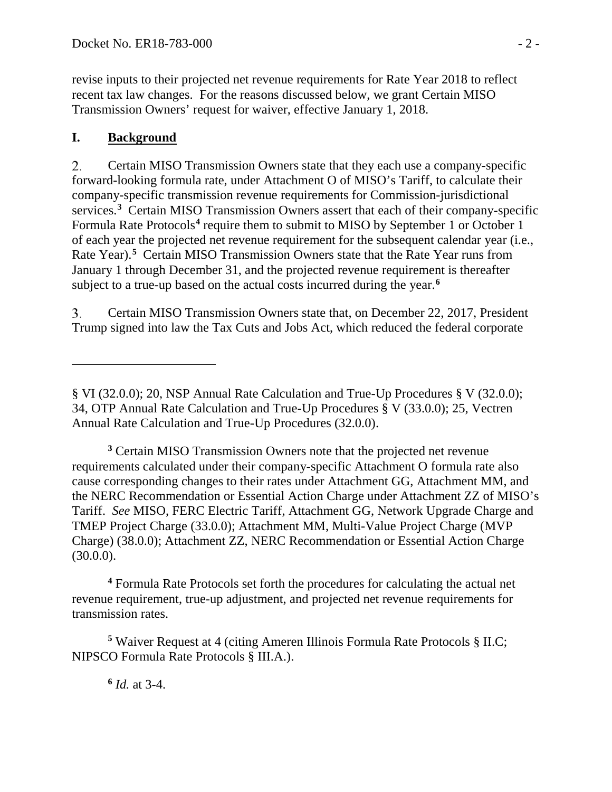revise inputs to their projected net revenue requirements for Rate Year 2018 to reflect recent tax law changes. For the reasons discussed below, we grant Certain MISO Transmission Owners' request for waiver, effective January 1, 2018.

# **I. Background**

 $\overline{a}$ 

<span id="page-1-4"></span>2. Certain MISO Transmission Owners state that they each use a company-specific forward-looking formula rate, under Attachment O of MISO's Tariff, to calculate their company-specific transmission revenue requirements for Commission-jurisdictional services.<sup>[3](#page-1-0)</sup> Certain MISO Transmission Owners assert that each of their company-specific Formula Rate Protocols**[4](#page-1-1)** require them to submit to MISO by September 1 or October 1 of each year the projected net revenue requirement for the subsequent calendar year (i.e., Rate Year).**[5](#page-1-2)** Certain MISO Transmission Owners state that the Rate Year runs from January 1 through December 31, and the projected revenue requirement is thereafter subject to a true-up based on the actual costs incurred during the year.**[6](#page-1-3)**

3. Certain MISO Transmission Owners state that, on December 22, 2017, President Trump signed into law the Tax Cuts and Jobs Act, which reduced the federal corporate

<span id="page-1-0"></span>**<sup>3</sup>** Certain MISO Transmission Owners note that the projected net revenue requirements calculated under their company-specific Attachment O formula rate also cause corresponding changes to their rates under Attachment GG, Attachment MM, and the NERC Recommendation or Essential Action Charge under Attachment ZZ of MISO's Tariff. *See* MISO, FERC Electric Tariff, Attachment GG, Network Upgrade Charge and TMEP Project Charge (33.0.0); Attachment MM, Multi-Value Project Charge (MVP Charge) (38.0.0); Attachment ZZ, NERC Recommendation or Essential Action Charge  $(30.0.0)$ .

<span id="page-1-1"></span>**<sup>4</sup>** Formula Rate Protocols set forth the procedures for calculating the actual net revenue requirement, true-up adjustment, and projected net revenue requirements for transmission rates.

<span id="page-1-3"></span><span id="page-1-2"></span>**<sup>5</sup>** Waiver Request at 4 (citing Ameren Illinois Formula Rate Protocols § II.C; NIPSCO Formula Rate Protocols § III.A.).

**<sup>6</sup>** *Id.* at 3-4.

<sup>§</sup> VI (32.0.0); 20, NSP Annual Rate Calculation and True-Up Procedures § V (32.0.0); 34, OTP Annual Rate Calculation and True-Up Procedures § V (33.0.0); 25, Vectren Annual Rate Calculation and True-Up Procedures (32.0.0).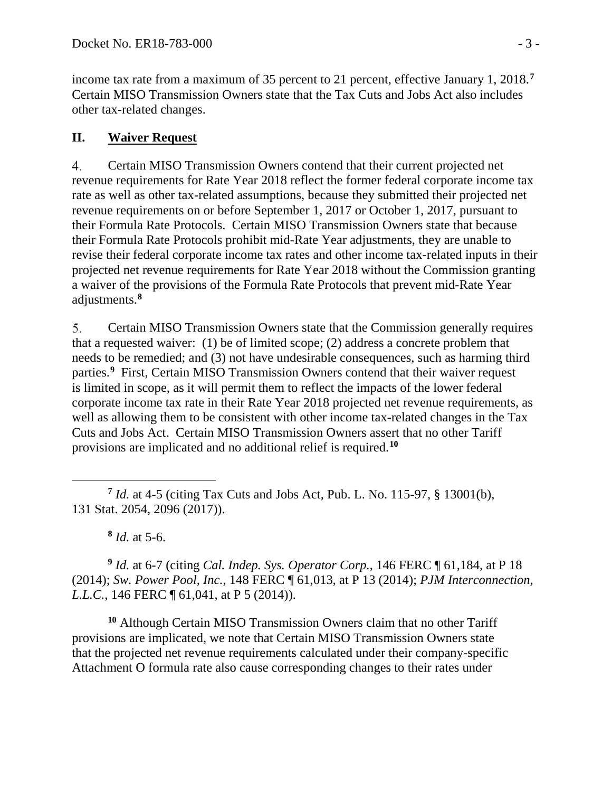income tax rate from a maximum of 35 percent to 21 percent, effective January 1, 2018.**[7](#page-2-0)** Certain MISO Transmission Owners state that the Tax Cuts and Jobs Act also includes other tax-related changes.

#### **II. Waiver Request**

4. Certain MISO Transmission Owners contend that their current projected net revenue requirements for Rate Year 2018 reflect the former federal corporate income tax rate as well as other tax-related assumptions, because they submitted their projected net revenue requirements on or before September 1, 2017 or October 1, 2017, pursuant to their Formula Rate Protocols. Certain MISO Transmission Owners state that because their Formula Rate Protocols prohibit mid-Rate Year adjustments, they are unable to revise their federal corporate income tax rates and other income tax-related inputs in their projected net revenue requirements for Rate Year 2018 without the Commission granting a waiver of the provisions of the Formula Rate Protocols that prevent mid-Rate Year adjustments.**[8](#page-2-1)**

5. Certain MISO Transmission Owners state that the Commission generally requires that a requested waiver: (1) be of limited scope; (2) address a concrete problem that needs to be remedied; and (3) not have undesirable consequences, such as harming third parties.<sup>[9](#page-2-2)</sup> First, Certain MISO Transmission Owners contend that their waiver request is limited in scope, as it will permit them to reflect the impacts of the lower federal corporate income tax rate in their Rate Year 2018 projected net revenue requirements, as well as allowing them to be consistent with other income tax-related changes in the Tax Cuts and Jobs Act. Certain MISO Transmission Owners assert that no other Tariff provisions are implicated and no additional relief is required.**[10](#page-2-3)**

<span id="page-2-4"></span>**<sup>8</sup>** *Id.* at 5-6.

<span id="page-2-2"></span><span id="page-2-1"></span>**<sup>9</sup>** *Id.* at 6-7 (citing *Cal. Indep. Sys. Operator Corp.*, 146 FERC ¶ 61,184, at P 18 (2014); *Sw. Power Pool, Inc.*, 148 FERC ¶ 61,013, at P 13 (2014); *PJM Interconnection, L.L.C.*, 146 FERC ¶ 61,041, at P 5 (2014)).

<span id="page-2-3"></span>**<sup>10</sup>** Although Certain MISO Transmission Owners claim that no other Tariff provisions are implicated, we note that Certain MISO Transmission Owners state that the projected net revenue requirements calculated under their company-specific Attachment O formula rate also cause corresponding changes to their rates under

<span id="page-2-0"></span> $\overline{a}$ **<sup>7</sup>** *Id.* at 4-5 (citing Tax Cuts and Jobs Act, Pub. L. No. 115-97, § 13001(b), 131 Stat. 2054, 2096 (2017)).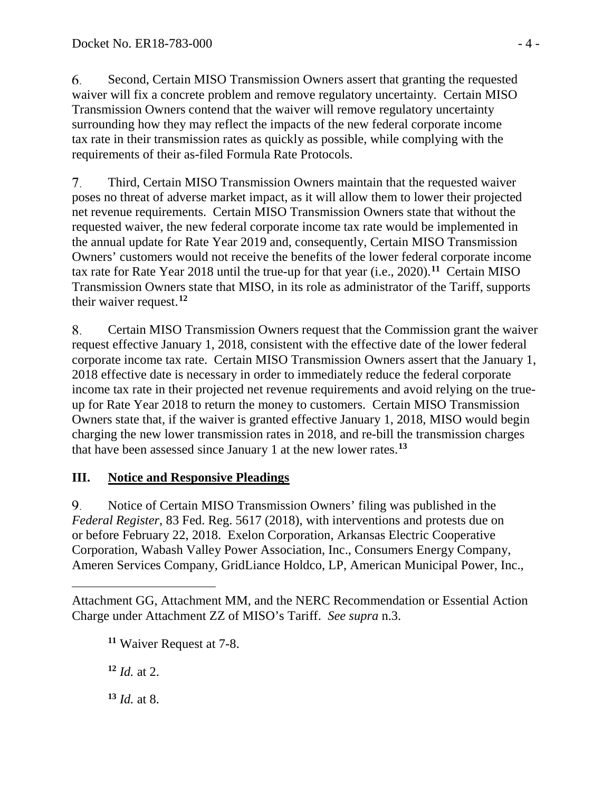6. Second, Certain MISO Transmission Owners assert that granting the requested waiver will fix a concrete problem and remove regulatory uncertainty. Certain MISO Transmission Owners contend that the waiver will remove regulatory uncertainty surrounding how they may reflect the impacts of the new federal corporate income tax rate in their transmission rates as quickly as possible, while complying with the requirements of their as-filed Formula Rate Protocols.

7. Third, Certain MISO Transmission Owners maintain that the requested waiver poses no threat of adverse market impact, as it will allow them to lower their projected net revenue requirements. Certain MISO Transmission Owners state that without the requested waiver, the new federal corporate income tax rate would be implemented in the annual update for Rate Year 2019 and, consequently, Certain MISO Transmission Owners' customers would not receive the benefits of the lower federal corporate income tax rate for Rate Year 2018 until the true-up for that year (i.e., 2020). **[11](#page-3-0)** Certain MISO Transmission Owners state that MISO, in its role as administrator of the Tariff, supports their waiver request.**[12](#page-3-1)**

8. Certain MISO Transmission Owners request that the Commission grant the waiver request effective January 1, 2018, consistent with the effective date of the lower federal corporate income tax rate. Certain MISO Transmission Owners assert that the January 1, 2018 effective date is necessary in order to immediately reduce the federal corporate income tax rate in their projected net revenue requirements and avoid relying on the trueup for Rate Year 2018 to return the money to customers. Certain MISO Transmission Owners state that, if the waiver is granted effective January 1, 2018, MISO would begin charging the new lower transmission rates in 2018, and re-bill the transmission charges that have been assessed since January 1 at the new lower rates.**[13](#page-3-2)**

## **III. Notice and Responsive Pleadings**

9. Notice of Certain MISO Transmission Owners' filing was published in the *Federal Register*, 83 Fed. Reg. 5617 (2018), with interventions and protests due on or before February 22, 2018. Exelon Corporation, Arkansas Electric Cooperative Corporation, Wabash Valley Power Association, Inc., Consumers Energy Company, Ameren Services Company, GridLiance Holdco, LP, American Municipal Power, Inc.,

**<sup>11</sup>** Waiver Request at 7-8.

**<sup>12</sup>** *Id.* at 2.

 $\overline{a}$ 

<span id="page-3-2"></span>**<sup>13</sup>** *Id.* at 8.

<span id="page-3-1"></span><span id="page-3-0"></span>Attachment GG, Attachment MM, and the NERC Recommendation or Essential Action Charge under Attachment ZZ of MISO's Tariff. *See supra* n[.3.](#page-1-4)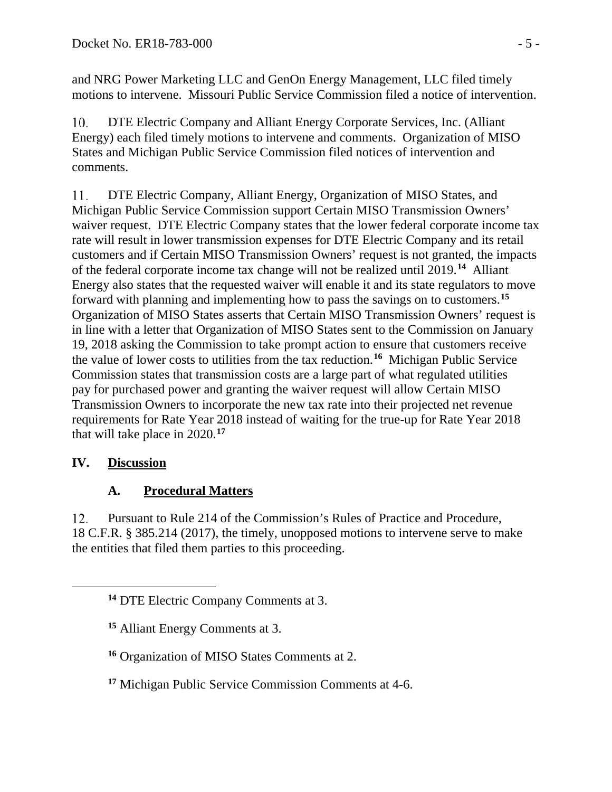and NRG Power Marketing LLC and GenOn Energy Management, LLC filed timely motions to intervene. Missouri Public Service Commission filed a notice of intervention.

 $10.$ DTE Electric Company and Alliant Energy Corporate Services, Inc. (Alliant Energy) each filed timely motions to intervene and comments. Organization of MISO States and Michigan Public Service Commission filed notices of intervention and comments.

11. DTE Electric Company, Alliant Energy, Organization of MISO States, and Michigan Public Service Commission support Certain MISO Transmission Owners' waiver request. DTE Electric Company states that the lower federal corporate income tax rate will result in lower transmission expenses for DTE Electric Company and its retail customers and if Certain MISO Transmission Owners' request is not granted, the impacts of the federal corporate income tax change will not be realized until 2019.**[14](#page-4-0)** Alliant Energy also states that the requested waiver will enable it and its state regulators to move forward with planning and implementing how to pass the savings on to customers.**[15](#page-4-1)** Organization of MISO States asserts that Certain MISO Transmission Owners' request is in line with a letter that Organization of MISO States sent to the Commission on January 19, 2018 asking the Commission to take prompt action to ensure that customers receive the value of lower costs to utilities from the tax reduction.**[16](#page-4-2)** Michigan Public Service Commission states that transmission costs are a large part of what regulated utilities pay for purchased power and granting the waiver request will allow Certain MISO Transmission Owners to incorporate the new tax rate into their projected net revenue requirements for Rate Year 2018 instead of waiting for the true-up for Rate Year 2018 that will take place in 2020.**[17](#page-4-3)**

# **IV. Discussion**

<span id="page-4-2"></span><span id="page-4-1"></span><span id="page-4-0"></span> $\overline{a}$ 

# **A. Procedural Matters**

 $12.$ Pursuant to Rule 214 of the Commission's Rules of Practice and Procedure, 18 C.F.R. § 385.214 (2017), the timely, unopposed motions to intervene serve to make the entities that filed them parties to this proceeding.

**<sup>14</sup>** DTE Electric Company Comments at 3.

**<sup>15</sup>** Alliant Energy Comments at 3.

**<sup>16</sup>** Organization of MISO States Comments at 2.

<span id="page-4-3"></span>**<sup>17</sup>** Michigan Public Service Commission Comments at 4-6.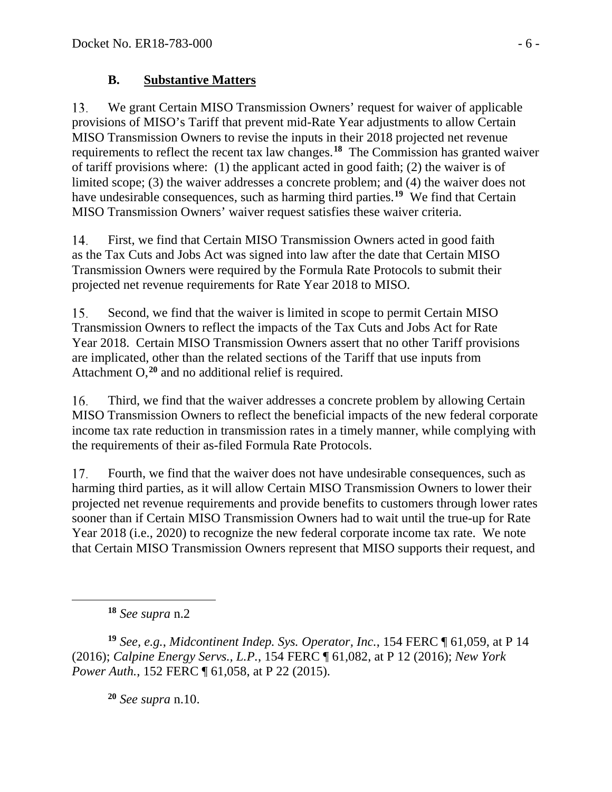### **B. Substantive Matters**

13. We grant Certain MISO Transmission Owners' request for waiver of applicable provisions of MISO's Tariff that prevent mid-Rate Year adjustments to allow Certain MISO Transmission Owners to revise the inputs in their 2018 projected net revenue requirements to reflect the recent tax law changes. **[18](#page-5-0)** The Commission has granted waiver of tariff provisions where: (1) the applicant acted in good faith; (2) the waiver is of limited scope; (3) the waiver addresses a concrete problem; and (4) the waiver does not have undesirable consequences, such as harming third parties.**[19](#page-5-1)** We find that Certain MISO Transmission Owners' waiver request satisfies these waiver criteria.

 $14.$ First, we find that Certain MISO Transmission Owners acted in good faith as the Tax Cuts and Jobs Act was signed into law after the date that Certain MISO Transmission Owners were required by the Formula Rate Protocols to submit their projected net revenue requirements for Rate Year 2018 to MISO.

15. Second, we find that the waiver is limited in scope to permit Certain MISO Transmission Owners to reflect the impacts of the Tax Cuts and Jobs Act for Rate Year 2018. Certain MISO Transmission Owners assert that no other Tariff provisions are implicated, other than the related sections of the Tariff that use inputs from Attachment O,**[20](#page-5-2)** and no additional relief is required.

16. Third, we find that the waiver addresses a concrete problem by allowing Certain MISO Transmission Owners to reflect the beneficial impacts of the new federal corporate income tax rate reduction in transmission rates in a timely manner, while complying with the requirements of their as-filed Formula Rate Protocols.

17. Fourth, we find that the waiver does not have undesirable consequences, such as harming third parties, as it will allow Certain MISO Transmission Owners to lower their projected net revenue requirements and provide benefits to customers through lower rates sooner than if Certain MISO Transmission Owners had to wait until the true-up for Rate Year 2018 (i.e., 2020) to recognize the new federal corporate income tax rate. We note that Certain MISO Transmission Owners represent that MISO supports their request, and

**<sup>18</sup>** *See supra* n[.2](#page-0-2)

<span id="page-5-0"></span> $\overline{a}$ 

<span id="page-5-2"></span><span id="page-5-1"></span>**<sup>19</sup>** *See, e.g.*, *Midcontinent Indep. Sys. Operator, Inc.*, 154 FERC ¶ 61,059, at P 14 (2016); *Calpine Energy Servs., L.P.*, 154 FERC ¶ 61,082, at P 12 (2016); *New York Power Auth.*, 152 FERC ¶ 61,058, at P 22 (2015).

**<sup>20</sup>** *See supra* n[.10.](#page-2-4)